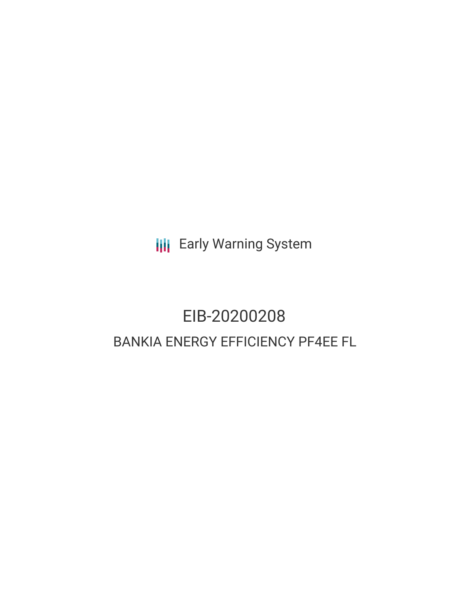**III** Early Warning System

# EIB-20200208 BANKIA ENERGY EFFICIENCY PF4EE FL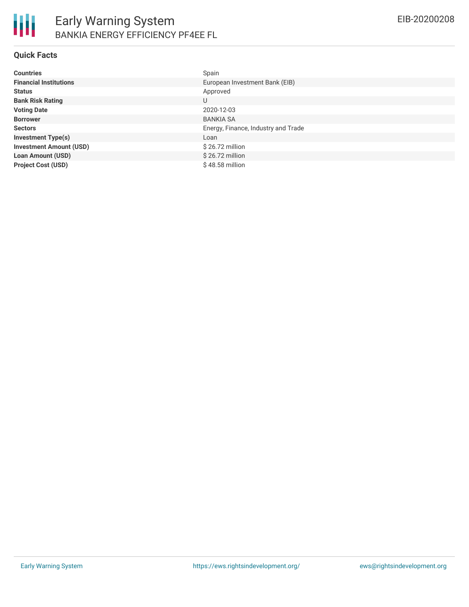## **Quick Facts**

| <b>Countries</b>               | Spain                               |
|--------------------------------|-------------------------------------|
| <b>Financial Institutions</b>  | European Investment Bank (EIB)      |
| <b>Status</b>                  | Approved                            |
| <b>Bank Risk Rating</b>        | U                                   |
| <b>Voting Date</b>             | 2020-12-03                          |
| <b>Borrower</b>                | <b>BANKIA SA</b>                    |
| <b>Sectors</b>                 | Energy, Finance, Industry and Trade |
| <b>Investment Type(s)</b>      | Loan                                |
| <b>Investment Amount (USD)</b> | $$26.72$ million                    |
| <b>Loan Amount (USD)</b>       | $$26.72$ million                    |
| <b>Project Cost (USD)</b>      | $$48.58$ million                    |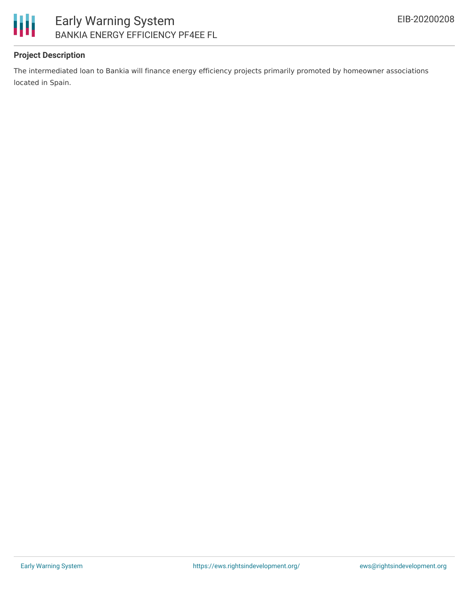

# Early Warning System BANKIA ENERGY EFFICIENCY PF4EE FL

# **Project Description**

The intermediated loan to Bankia will finance energy efficiency projects primarily promoted by homeowner associations located in Spain.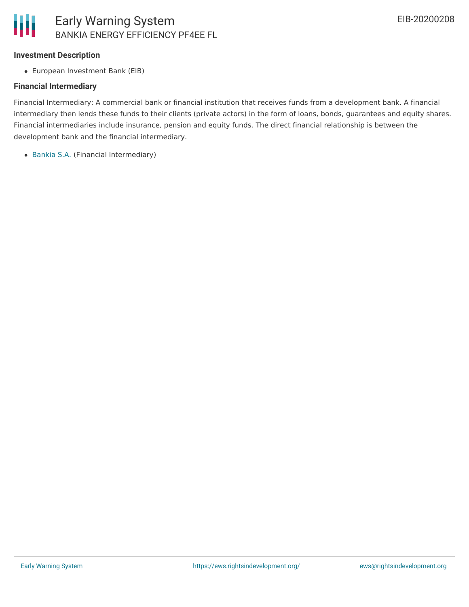

#### **Investment Description**

European Investment Bank (EIB)

### **Financial Intermediary**

Financial Intermediary: A commercial bank or financial institution that receives funds from a development bank. A financial intermediary then lends these funds to their clients (private actors) in the form of loans, bonds, guarantees and equity shares. Financial intermediaries include insurance, pension and equity funds. The direct financial relationship is between the development bank and the financial intermediary.

• [Bankia](file:///actor/139/) S.A. (Financial Intermediary)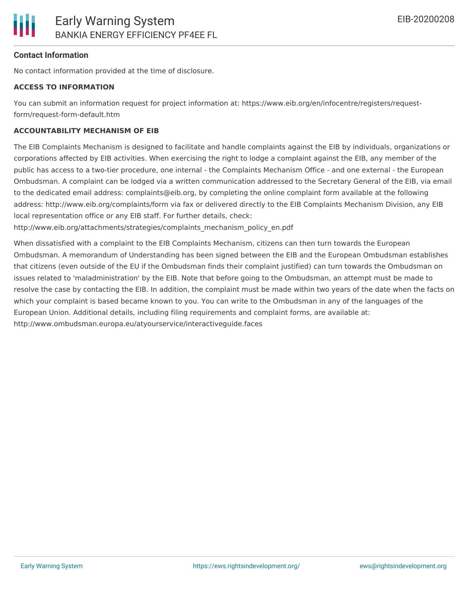## **Contact Information**

No contact information provided at the time of disclosure.

#### **ACCESS TO INFORMATION**

You can submit an information request for project information at: https://www.eib.org/en/infocentre/registers/requestform/request-form-default.htm

#### **ACCOUNTABILITY MECHANISM OF EIB**

The EIB Complaints Mechanism is designed to facilitate and handle complaints against the EIB by individuals, organizations or corporations affected by EIB activities. When exercising the right to lodge a complaint against the EIB, any member of the public has access to a two-tier procedure, one internal - the Complaints Mechanism Office - and one external - the European Ombudsman. A complaint can be lodged via a written communication addressed to the Secretary General of the EIB, via email to the dedicated email address: complaints@eib.org, by completing the online complaint form available at the following address: http://www.eib.org/complaints/form via fax or delivered directly to the EIB Complaints Mechanism Division, any EIB local representation office or any EIB staff. For further details, check:

http://www.eib.org/attachments/strategies/complaints\_mechanism\_policy\_en.pdf

When dissatisfied with a complaint to the EIB Complaints Mechanism, citizens can then turn towards the European Ombudsman. A memorandum of Understanding has been signed between the EIB and the European Ombudsman establishes that citizens (even outside of the EU if the Ombudsman finds their complaint justified) can turn towards the Ombudsman on issues related to 'maladministration' by the EIB. Note that before going to the Ombudsman, an attempt must be made to resolve the case by contacting the EIB. In addition, the complaint must be made within two years of the date when the facts on which your complaint is based became known to you. You can write to the Ombudsman in any of the languages of the European Union. Additional details, including filing requirements and complaint forms, are available at: http://www.ombudsman.europa.eu/atyourservice/interactiveguide.faces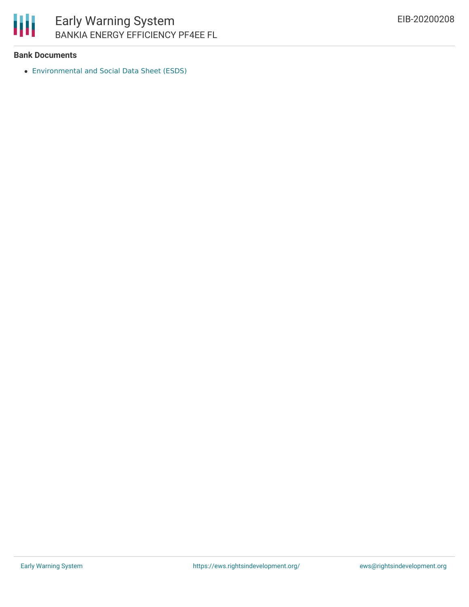

# Early Warning System BANKIA ENERGY EFFICIENCY PF4EE FL

## **Bank Documents**

[Environmental](https://www.eib.org/attachments/registers/134073985.pdf) and Social Data Sheet (ESDS)